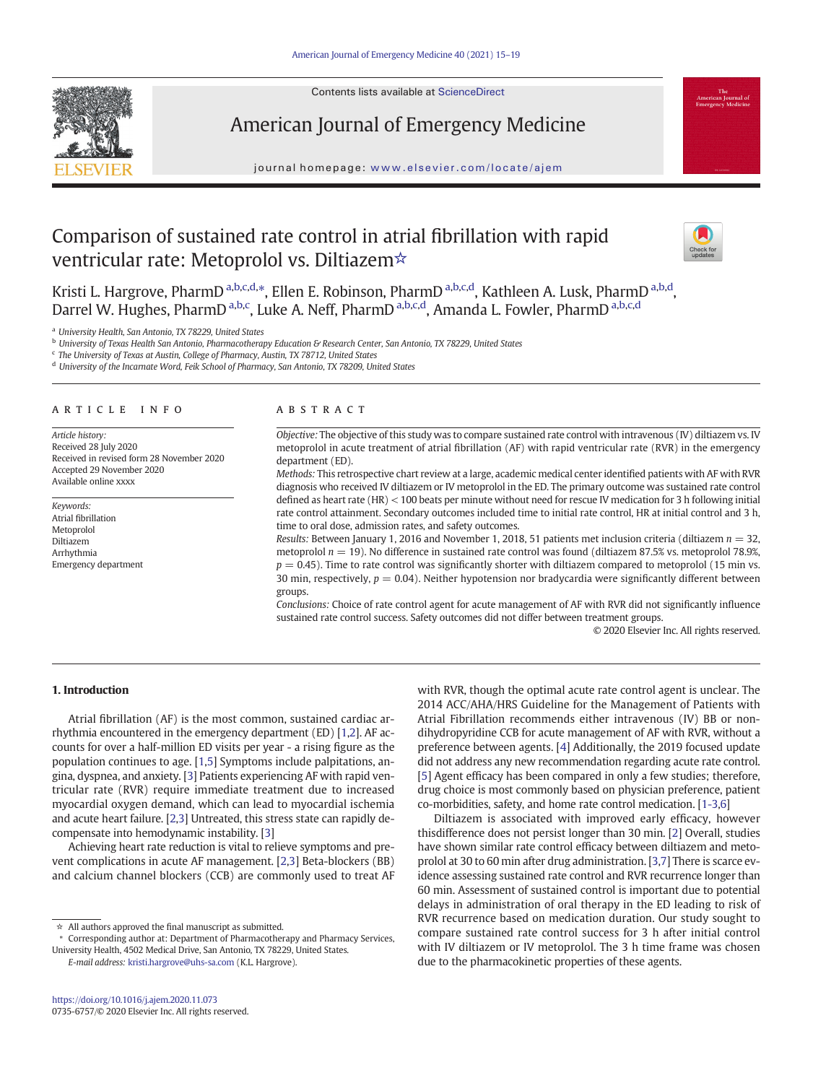

Contents lists available at ScienceDirect

# American Journal of Emergency Medicine

journal homepage: <www.elsevier.com/locate/ajem>

## Comparison of sustained rate control in atrial fibrillation with rapid ventricular rate: Metoprolol vs. Diltiazem☆



Kristi L. Hargrove, PharmD <sup>a,b,c,d,</sup>\*, Ellen E. Robinson, PharmD <sup>a,b,c,d</sup>, Kathleen A. Lusk, PharmD <sup>a,b,d</sup>, Darrel W. Hughes, PharmD <sup>a,b,c</sup>, Luke A. Neff, PharmD <sup>a,b,c,d</sup>, Amanda L. Fowler, PharmD <sup>a,b,c,d</sup>

<sup>a</sup> University Health, San Antonio, TX 78229, United States

**b University of Texas Health San Antonio, Pharmacotherapy Education & Research Center, San Antonio, TX 78229, United States** 

<sup>c</sup> The University of Texas at Austin, College of Pharmacy, Austin, TX 78712, United States

<sup>d</sup> University of the Incarnate Word, Feik School of Pharmacy, San Antonio, TX 78209, United States

#### article info abstract

Article history: Received 28 July 2020 Received in revised form 28 November 2020 Accepted 29 November 2020 Available online xxxx

Keywords: Atrial fibrillation Metoprolol Diltiazem Arrhythmia Emergency department

Objective: The objective of this study was to compare sustained rate control with intravenous (IV) diltiazem vs. IV metoprolol in acute treatment of atrial fibrillation (AF) with rapid ventricular rate (RVR) in the emergency department (ED).

Methods: This retrospective chart review at a large, academic medical center identified patients with AF with RVR diagnosis who received IV diltiazem or IV metoprolol in the ED. The primary outcome was sustained rate control defined as heart rate (HR) < 100 beats per minute without need for rescue IV medication for 3 h following initial rate control attainment. Secondary outcomes included time to initial rate control, HR at initial control and 3 h, time to oral dose, admission rates, and safety outcomes.

Results: Between January 1, 2016 and November 1, 2018, 51 patients met inclusion criteria (diltiazem  $n = 32$ , metoprolol  $n = 19$ ). No difference in sustained rate control was found (diltiazem 87.5% vs. metoprolol 78.9%,  $p = 0.45$ ). Time to rate control was significantly shorter with diltiazem compared to metoprolol (15 min vs. 30 min, respectively,  $p = 0.04$ ). Neither hypotension nor bradycardia were significantly different between groups.

Conclusions: Choice of rate control agent for acute management of AF with RVR did not significantly influence sustained rate control success. Safety outcomes did not differ between treatment groups.

© 2020 Elsevier Inc. All rights reserved.

## 1. Introduction

Atrial fibrillation (AF) is the most common, sustained cardiac arrhythmia encountered in the emergency department (ED) [\[1,2\]](#page-4-0). AF accounts for over a half-million ED visits per year - a rising figure as the population continues to age. [\[1,5](#page-4-0)] Symptoms include palpitations, angina, dyspnea, and anxiety. [\[3\]](#page-4-0) Patients experiencing AF with rapid ventricular rate (RVR) require immediate treatment due to increased myocardial oxygen demand, which can lead to myocardial ischemia and acute heart failure. [[2,3](#page-4-0)] Untreated, this stress state can rapidly decompensate into hemodynamic instability. [\[3](#page-4-0)]

Achieving heart rate reduction is vital to relieve symptoms and prevent complications in acute AF management. [[2](#page-4-0),[3](#page-4-0)] Beta-blockers (BB) and calcium channel blockers (CCB) are commonly used to treat AF

E-mail address: [kristi.hargrove@uhs-sa.com](mailto:kristi.hargrove@uhs-sa.com) (K.L. Hargrove).

with RVR, though the optimal acute rate control agent is unclear. The 2014 ACC/AHA/HRS Guideline for the Management of Patients with Atrial Fibrillation recommends either intravenous (IV) BB or nondihydropyridine CCB for acute management of AF with RVR, without a preference between agents. [[4\]](#page-4-0) Additionally, the 2019 focused update did not address any new recommendation regarding acute rate control. [[5](#page-4-0)] Agent efficacy has been compared in only a few studies; therefore, drug choice is most commonly based on physician preference, patient co-morbidities, safety, and home rate control medication. [\[1-3](#page-4-0),[6](#page-4-0)]

Diltiazem is associated with improved early efficacy, however thisdifference does not persist longer than 30 min. [[2](#page-4-0)] Overall, studies have shown similar rate control efficacy between diltiazem and metoprolol at 30 to 60 min after drug administration. [\[3,7\]](#page-4-0) There is scarce evidence assessing sustained rate control and RVR recurrence longer than 60 min. Assessment of sustained control is important due to potential delays in administration of oral therapy in the ED leading to risk of RVR recurrence based on medication duration. Our study sought to compare sustained rate control success for 3 h after initial control with IV diltiazem or IV metoprolol. The 3 h time frame was chosen due to the pharmacokinetic properties of these agents.

<sup>☆</sup> All authors approved the final manuscript as submitted.

<sup>⁎</sup> Corresponding author at: Department of Pharmacotherapy and Pharmacy Services, University Health, 4502 Medical Drive, San Antonio, TX 78229, United States.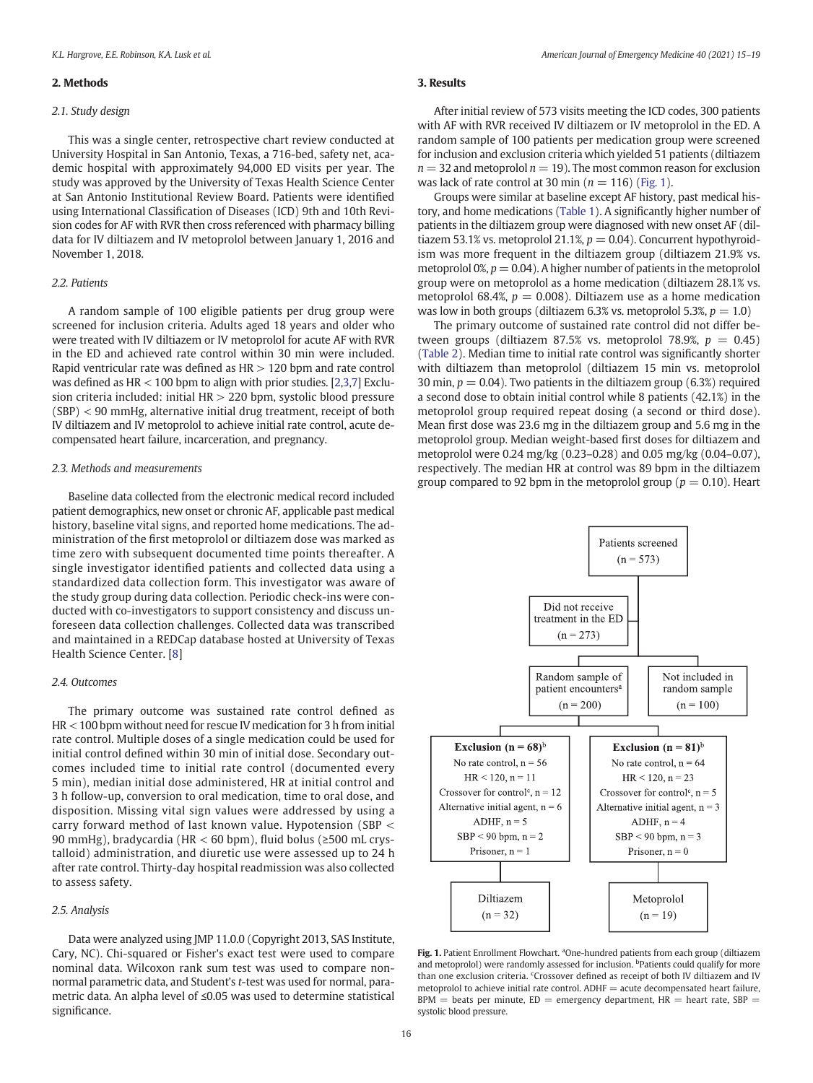#### 2. Methods

#### 2.1. Study design

This was a single center, retrospective chart review conducted at University Hospital in San Antonio, Texas, a 716-bed, safety net, academic hospital with approximately 94,000 ED visits per year. The study was approved by the University of Texas Health Science Center at San Antonio Institutional Review Board. Patients were identified using International Classification of Diseases (ICD) 9th and 10th Revision codes for AF with RVR then cross referenced with pharmacy billing data for IV diltiazem and IV metoprolol between January 1, 2016 and November 1, 2018.

#### 2.2. Patients

A random sample of 100 eligible patients per drug group were screened for inclusion criteria. Adults aged 18 years and older who were treated with IV diltiazem or IV metoprolol for acute AF with RVR in the ED and achieved rate control within 30 min were included. Rapid ventricular rate was defined as  $HR > 120$  bpm and rate control was defined as  $HR < 100$  bpm to align with prior studies. [\[2,3,7](#page-4-0)] Exclusion criteria included: initial HR > 220 bpm, systolic blood pressure (SBP) < 90 mmHg, alternative initial drug treatment, receipt of both IV diltiazem and IV metoprolol to achieve initial rate control, acute decompensated heart failure, incarceration, and pregnancy.

#### 2.3. Methods and measurements

Baseline data collected from the electronic medical record included patient demographics, new onset or chronic AF, applicable past medical history, baseline vital signs, and reported home medications. The administration of the first metoprolol or diltiazem dose was marked as time zero with subsequent documented time points thereafter. A single investigator identified patients and collected data using a standardized data collection form. This investigator was aware of the study group during data collection. Periodic check-ins were conducted with co-investigators to support consistency and discuss unforeseen data collection challenges. Collected data was transcribed and maintained in a REDCap database hosted at University of Texas Health Science Center. [\[8\]](#page-4-0)

#### 2.4. Outcomes

The primary outcome was sustained rate control defined as HR < 100 bpm without need for rescue IV medication for 3 h from initial rate control. Multiple doses of a single medication could be used for initial control defined within 30 min of initial dose. Secondary outcomes included time to initial rate control (documented every 5 min), median initial dose administered, HR at initial control and 3 h follow-up, conversion to oral medication, time to oral dose, and disposition. Missing vital sign values were addressed by using a carry forward method of last known value. Hypotension (SBP < 90 mmHg), bradycardia (HR < 60 bpm), fluid bolus (≥500 mL crystalloid) administration, and diuretic use were assessed up to 24 h after rate control. Thirty-day hospital readmission was also collected to assess safety.

#### 2.5. Analysis

Data were analyzed using JMP 11.0.0 (Copyright 2013, SAS Institute, Cary, NC). Chi-squared or Fisher's exact test were used to compare nominal data. Wilcoxon rank sum test was used to compare nonnormal parametric data, and Student's t-test was used for normal, parametric data. An alpha level of ≤0.05 was used to determine statistical significance.

### 3. Results

After initial review of 573 visits meeting the ICD codes, 300 patients with AF with RVR received IV diltiazem or IV metoprolol in the ED. A random sample of 100 patients per medication group were screened for inclusion and exclusion criteria which yielded 51 patients (diltiazem  $n = 32$  and metoprolol  $n = 19$ ). The most common reason for exclusion was lack of rate control at 30 min ( $n = 116$ ) (Fig. 1).

Groups were similar at baseline except AF history, past medical history, and home medications [\(Table 1\)](#page-2-0). A significantly higher number of patients in the diltiazem group were diagnosed with new onset AF (diltiazem 53.1% vs. metoprolol 21.1%,  $p = 0.04$ ). Concurrent hypothyroidism was more frequent in the diltiazem group (diltiazem 21.9% vs. metoprolol 0%,  $p = 0.04$ ). A higher number of patients in the metoprolol group were on metoprolol as a home medication (diltiazem 28.1% vs. metoprolol 68.4%,  $p = 0.008$ ). Diltiazem use as a home medication was low in both groups (diltiazem 6.3% vs. metoprolol 5.3%,  $p = 1.0$ )

The primary outcome of sustained rate control did not differ between groups (diltiazem 87.5% vs. metoprolol 78.9%,  $p = 0.45$ ) ([Table 2\)](#page-2-0). Median time to initial rate control was significantly shorter with diltiazem than metoprolol (diltiazem 15 min vs. metoprolol 30 min,  $p = 0.04$ ). Two patients in the diltiazem group (6.3%) required a second dose to obtain initial control while 8 patients (42.1%) in the metoprolol group required repeat dosing (a second or third dose). Mean first dose was 23.6 mg in the diltiazem group and 5.6 mg in the metoprolol group. Median weight-based first doses for diltiazem and metoprolol were 0.24 mg/kg (0.23–0.28) and 0.05 mg/kg (0.04–0.07), respectively. The median HR at control was 89 bpm in the diltiazem group compared to 92 bpm in the metoprolol group ( $p = 0.10$ ). Heart



Fig. 1. Patient Enrollment Flowchart. <sup>a</sup>One-hundred patients from each group (diltiazem and metoprolol) were randomly assessed for inclusion. <sup>b</sup>Patients could qualify for more than one exclusion criteria. <sup>c</sup>Crossover defined as receipt of both IV diltiazem and IV metoprolol to achieve initial rate control.  $ADHF =$  acute decompensated heart failure,  $BPM$  = beats per minute,  $ED$  = emergency department,  $HR$  = heart rate,  $SBP$  = systolic blood pressure.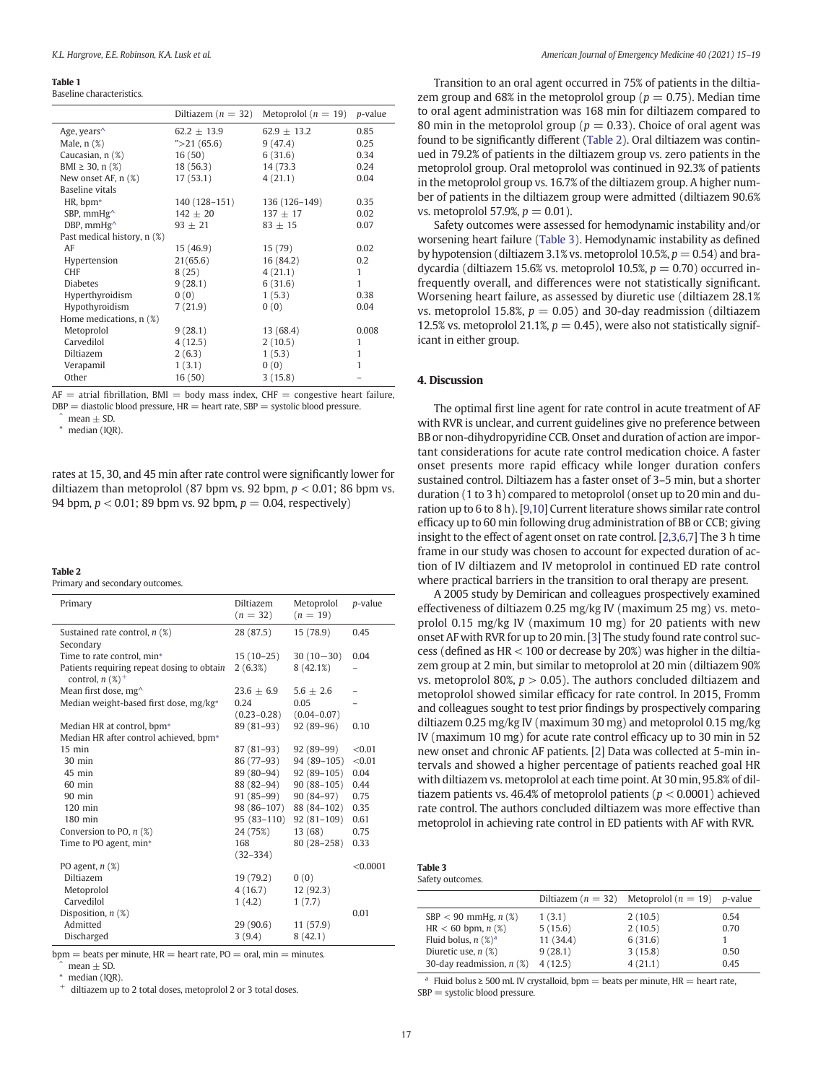#### <span id="page-2-0"></span>Table 1

Baseline characteristics.

|                              | Diltiazem ( $n = 32$ ) | Metoprolol ( $n = 19$ ) p-value |         |
|------------------------------|------------------------|---------------------------------|---------|
| Age, years <sup>^</sup>      | $62.2 \pm 13.9$        | $62.9 \pm 13.2$                 | 0.85    |
| Male, $n$ $(\%)$             | " > 21(65.6)           | 9(47.4)                         | 0.25    |
| Caucasian, n (%)             | 16(50)                 | 6(31.6)                         | 0.34    |
| BMI $\geq$ 30, n (%)         | 18 (56.3)              | 14 (73.3)                       | 0.24    |
| New onset AF, n (%)          | 17(53.1)               | 4(21.1)                         | 0.04    |
| Baseline vitals              |                        |                                 |         |
| HR, bpm*                     | 140 (128-151)          | 136 (126–149)                   | 0.35    |
| SBP, mmHg <sup>^</sup>       | $142 \pm 20$           | $137 \pm 17$                    | 0.02    |
| DBP, $mmHg^{\wedge}$         | $93 + 21$              | $83 + 15$                       | 0.07    |
| Past medical history, n (%)  |                        |                                 |         |
| AF                           | 15 (46.9)              | 15 (79)                         | 0.02    |
| Hypertension                 | 21(65.6)               | 16 (84.2)                       | $0.2\,$ |
| <b>CHF</b>                   | 8(25)                  | 4(21.1)                         | 1       |
| <b>Diabetes</b>              | 9(28.1)                | 6(31.6)                         | 1       |
| Hyperthyroidism              | 0(0)                   | 1(5.3)                          | 0.38    |
| Hypothyroidism               | 7(21.9)                | 0(0)                            | 0.04    |
| Home medications, $n$ $(\%)$ |                        |                                 |         |
| Metoprolol                   | 9(28.1)                | 13 (68.4)                       | 0.008   |
| Carvedilol                   | 4(12.5)                | 2(10.5)                         | 1       |
| Diltiazem                    | 2(6.3)                 | 1(5.3)                          | 1       |
| Verapamil                    | 1(3.1)                 | 0(0)                            | 1       |
| Other                        | 16(50)                 | 3(15.8)                         |         |

 $AF =$  atrial fibrillation, BMI = body mass index, CHF = congestive heart failure,  $DBP =$  diastolic blood pressure,  $HR =$  heart rate,  $SBP =$  systolic blood pressure.

 $mean \pm SD$ .

⁎ median (IQR).

rates at 15, 30, and 45 min after rate control were significantly lower for diltiazem than metoprolol (87 bpm vs. 92 bpm,  $p < 0.01$ ; 86 bpm vs. 94 bpm,  $p < 0.01$ ; 89 bpm vs. 92 bpm,  $p = 0.04$ , respectively)

#### Table 2

Primary and secondary outcomes.

| 28 (87.5)<br>0.45<br>Sustained rate control, $n$ (%)<br>15 (78.9)<br>Secondary<br>Time to rate control, min*<br>$30(10-30)$<br>$15(10-25)$<br>0.04<br>Patients requiring repeat dosing to obtain<br>2(6.3%)<br>8(42.1%)<br>control, $n$ (%) <sup>+</sup><br>Mean first dose, mg <sup>^</sup><br>$23.6 + 6.9$<br>$5.6 \pm 2.6$<br>Median weight-based first dose, mg/kg*<br>0.24<br>0.05<br>$(0.23 - 0.28)$<br>$(0.04 - 0.07)$<br>89 (81-93)<br>$92(89-96)$<br>Median HR at control, bpm*<br>0.10<br>Median HR after control achieved, bpm*<br>$15$ min<br>< 0.01<br>87 (81–93)<br>$92(89-99)$<br>86 (77–93)<br>94 (89-105)<br>< 0.01<br>$30 \text{ min}$<br>$45$ min<br>89 (80-94)<br>$92(89-105)$<br>0.04<br>88 (82-94)<br>0.44<br>$90(88-105)$<br>$60$ min<br>$91(85-99)$<br>$90(84-97)$<br>0.75<br>$90$ min<br>98 (86-107)<br>88 (84-102)<br>0.35<br>$120$ min<br>$180$ min<br>$95(83-110)$<br>$92(81-109)$<br>0.61<br>0.75<br>Conversion to PO, $n$ (%)<br>24 (75%)<br>13(68)<br>Time to PO agent, min*<br>168<br>$80(28 - 258)$<br>0.33<br>$(32 - 334)$<br>< 0.0001<br>PO agent, $n$ $(\%)$<br>19 (79.2)<br>Diltiazem<br>0(0)<br>4(16.7)<br>Metoprolol<br>12 (92.3)<br>Carvedilol<br>1(7.7)<br>1(4.2)<br>Disposition, $n$ (%)<br>0.01<br>Admitted<br>29(90.6)<br>11 (57.9) | Primary    | <b>Diltiazem</b><br>$(n = 32)$ | Metoprolol<br>$(n = 19)$ | p-value |
|---------------------------------------------------------------------------------------------------------------------------------------------------------------------------------------------------------------------------------------------------------------------------------------------------------------------------------------------------------------------------------------------------------------------------------------------------------------------------------------------------------------------------------------------------------------------------------------------------------------------------------------------------------------------------------------------------------------------------------------------------------------------------------------------------------------------------------------------------------------------------------------------------------------------------------------------------------------------------------------------------------------------------------------------------------------------------------------------------------------------------------------------------------------------------------------------------------------------------------------------------------------------------------|------------|--------------------------------|--------------------------|---------|
|                                                                                                                                                                                                                                                                                                                                                                                                                                                                                                                                                                                                                                                                                                                                                                                                                                                                                                                                                                                                                                                                                                                                                                                                                                                                                 |            |                                |                          |         |
|                                                                                                                                                                                                                                                                                                                                                                                                                                                                                                                                                                                                                                                                                                                                                                                                                                                                                                                                                                                                                                                                                                                                                                                                                                                                                 |            |                                |                          |         |
|                                                                                                                                                                                                                                                                                                                                                                                                                                                                                                                                                                                                                                                                                                                                                                                                                                                                                                                                                                                                                                                                                                                                                                                                                                                                                 |            |                                |                          |         |
|                                                                                                                                                                                                                                                                                                                                                                                                                                                                                                                                                                                                                                                                                                                                                                                                                                                                                                                                                                                                                                                                                                                                                                                                                                                                                 |            |                                |                          |         |
|                                                                                                                                                                                                                                                                                                                                                                                                                                                                                                                                                                                                                                                                                                                                                                                                                                                                                                                                                                                                                                                                                                                                                                                                                                                                                 |            |                                |                          |         |
|                                                                                                                                                                                                                                                                                                                                                                                                                                                                                                                                                                                                                                                                                                                                                                                                                                                                                                                                                                                                                                                                                                                                                                                                                                                                                 |            |                                |                          |         |
|                                                                                                                                                                                                                                                                                                                                                                                                                                                                                                                                                                                                                                                                                                                                                                                                                                                                                                                                                                                                                                                                                                                                                                                                                                                                                 |            |                                |                          |         |
|                                                                                                                                                                                                                                                                                                                                                                                                                                                                                                                                                                                                                                                                                                                                                                                                                                                                                                                                                                                                                                                                                                                                                                                                                                                                                 |            |                                |                          |         |
|                                                                                                                                                                                                                                                                                                                                                                                                                                                                                                                                                                                                                                                                                                                                                                                                                                                                                                                                                                                                                                                                                                                                                                                                                                                                                 |            |                                |                          |         |
|                                                                                                                                                                                                                                                                                                                                                                                                                                                                                                                                                                                                                                                                                                                                                                                                                                                                                                                                                                                                                                                                                                                                                                                                                                                                                 |            |                                |                          |         |
|                                                                                                                                                                                                                                                                                                                                                                                                                                                                                                                                                                                                                                                                                                                                                                                                                                                                                                                                                                                                                                                                                                                                                                                                                                                                                 |            |                                |                          |         |
|                                                                                                                                                                                                                                                                                                                                                                                                                                                                                                                                                                                                                                                                                                                                                                                                                                                                                                                                                                                                                                                                                                                                                                                                                                                                                 |            |                                |                          |         |
|                                                                                                                                                                                                                                                                                                                                                                                                                                                                                                                                                                                                                                                                                                                                                                                                                                                                                                                                                                                                                                                                                                                                                                                                                                                                                 |            |                                |                          |         |
|                                                                                                                                                                                                                                                                                                                                                                                                                                                                                                                                                                                                                                                                                                                                                                                                                                                                                                                                                                                                                                                                                                                                                                                                                                                                                 |            |                                |                          |         |
|                                                                                                                                                                                                                                                                                                                                                                                                                                                                                                                                                                                                                                                                                                                                                                                                                                                                                                                                                                                                                                                                                                                                                                                                                                                                                 |            |                                |                          |         |
|                                                                                                                                                                                                                                                                                                                                                                                                                                                                                                                                                                                                                                                                                                                                                                                                                                                                                                                                                                                                                                                                                                                                                                                                                                                                                 |            |                                |                          |         |
|                                                                                                                                                                                                                                                                                                                                                                                                                                                                                                                                                                                                                                                                                                                                                                                                                                                                                                                                                                                                                                                                                                                                                                                                                                                                                 |            |                                |                          |         |
|                                                                                                                                                                                                                                                                                                                                                                                                                                                                                                                                                                                                                                                                                                                                                                                                                                                                                                                                                                                                                                                                                                                                                                                                                                                                                 |            |                                |                          |         |
|                                                                                                                                                                                                                                                                                                                                                                                                                                                                                                                                                                                                                                                                                                                                                                                                                                                                                                                                                                                                                                                                                                                                                                                                                                                                                 |            |                                |                          |         |
|                                                                                                                                                                                                                                                                                                                                                                                                                                                                                                                                                                                                                                                                                                                                                                                                                                                                                                                                                                                                                                                                                                                                                                                                                                                                                 |            |                                |                          |         |
|                                                                                                                                                                                                                                                                                                                                                                                                                                                                                                                                                                                                                                                                                                                                                                                                                                                                                                                                                                                                                                                                                                                                                                                                                                                                                 |            |                                |                          |         |
|                                                                                                                                                                                                                                                                                                                                                                                                                                                                                                                                                                                                                                                                                                                                                                                                                                                                                                                                                                                                                                                                                                                                                                                                                                                                                 |            |                                |                          |         |
|                                                                                                                                                                                                                                                                                                                                                                                                                                                                                                                                                                                                                                                                                                                                                                                                                                                                                                                                                                                                                                                                                                                                                                                                                                                                                 |            |                                |                          |         |
|                                                                                                                                                                                                                                                                                                                                                                                                                                                                                                                                                                                                                                                                                                                                                                                                                                                                                                                                                                                                                                                                                                                                                                                                                                                                                 |            |                                |                          |         |
|                                                                                                                                                                                                                                                                                                                                                                                                                                                                                                                                                                                                                                                                                                                                                                                                                                                                                                                                                                                                                                                                                                                                                                                                                                                                                 |            |                                |                          |         |
|                                                                                                                                                                                                                                                                                                                                                                                                                                                                                                                                                                                                                                                                                                                                                                                                                                                                                                                                                                                                                                                                                                                                                                                                                                                                                 | Discharged | 3(9.4)                         | 8(42.1)                  |         |

 $bpm =$  beats per minute,  $HR =$  heart rate,  $PO =$  oral,  $min =$  minutes.  $mean \pm SD$ .

median (IQR)

diltiazem up to 2 total doses, metoprolol 2 or 3 total doses.

Transition to an oral agent occurred in 75% of patients in the diltiazem group and 68% in the metoprolol group ( $p = 0.75$ ). Median time to oral agent administration was 168 min for diltiazem compared to 80 min in the metoprolol group ( $p = 0.33$ ). Choice of oral agent was found to be significantly different (Table 2). Oral diltiazem was continued in 79.2% of patients in the diltiazem group vs. zero patients in the metoprolol group. Oral metoprolol was continued in 92.3% of patients in the metoprolol group vs. 16.7% of the diltiazem group. A higher number of patients in the diltiazem group were admitted (diltiazem 90.6% vs. metoprolol 57.9%,  $p = 0.01$ ).

Safety outcomes were assessed for hemodynamic instability and/or worsening heart failure (Table 3). Hemodynamic instability as defined by hypotension (diltiazem 3.1% vs. metoprolol 10.5%,  $p = 0.54$ ) and bradycardia (diltiazem 15.6% vs. metoprolol 10.5%,  $p = 0.70$ ) occurred infrequently overall, and differences were not statistically significant. Worsening heart failure, as assessed by diuretic use (diltiazem 28.1% vs. metoprolol 15.8%,  $p = 0.05$ ) and 30-day readmission (diltiazem 12.5% vs. metoprolol 21.1%,  $p = 0.45$ ), were also not statistically significant in either group.

#### 4. Discussion

The optimal first line agent for rate control in acute treatment of AF with RVR is unclear, and current guidelines give no preference between BB or non-dihydropyridine CCB. Onset and duration of action are important considerations for acute rate control medication choice. A faster onset presents more rapid efficacy while longer duration confers sustained control. Diltiazem has a faster onset of 3–5 min, but a shorter duration (1 to 3 h) compared to metoprolol (onset up to 20 min and duration up to 6 to 8 h). [[9](#page-4-0),[10\]](#page-4-0) Current literature shows similar rate control efficacy up to 60 min following drug administration of BB or CCB; giving insight to the effect of agent onset on rate control. [[2,3](#page-4-0),[6,7](#page-4-0)] The 3 h time frame in our study was chosen to account for expected duration of action of IV diltiazem and IV metoprolol in continued ED rate control where practical barriers in the transition to oral therapy are present.

A 2005 study by Demirican and colleagues prospectively examined effectiveness of diltiazem 0.25 mg/kg IV (maximum 25 mg) vs. metoprolol 0.15 mg/kg IV (maximum 10 mg) for 20 patients with new onset AF with RVR for up to 20 min. [\[3\]](#page-4-0) The study found rate control success (defined as HR < 100 or decrease by 20%) was higher in the diltiazem group at 2 min, but similar to metoprolol at 20 min (diltiazem 90% vs. metoprolol 80%,  $p > 0.05$ ). The authors concluded diltiazem and metoprolol showed similar efficacy for rate control. In 2015, Fromm and colleagues sought to test prior findings by prospectively comparing diltiazem 0.25 mg/kg IV (maximum 30 mg) and metoprolol 0.15 mg/kg IV (maximum 10 mg) for acute rate control efficacy up to 30 min in 52 new onset and chronic AF patients. [\[2\]](#page-4-0) Data was collected at 5-min intervals and showed a higher percentage of patients reached goal HR with diltiazem vs. metoprolol at each time point. At 30 min, 95.8% of diltiazem patients vs. 46.4% of metoprolol patients ( $p < 0.0001$ ) achieved rate control. The authors concluded diltiazem was more effective than metoprolol in achieving rate control in ED patients with AF with RVR.

| Table 3          |
|------------------|
| Safety outcomes. |

|                                   |           | Diltiazem ( $n = 32$ ) Metoprolol ( $n = 19$ ) | <i>p</i> -value |
|-----------------------------------|-----------|------------------------------------------------|-----------------|
| $SBP < 90$ mmHg, $n$ (%)          | 1(3.1)    | 2(10.5)                                        | 0.54            |
| $HR < 60$ bpm, $n$ (%)            | 5(15.6)   | 2(10.5)                                        | 0.70            |
| Fluid bolus, $n$ (%) <sup>a</sup> | 11 (34.4) | 6(31.6)                                        |                 |
| Diuretic use, $n$ (%)             | 9(28.1)   | 3(15.8)                                        | 0.50            |
| 30-day readmission, $n$ (%)       | 4(12.5)   | 4(21.1)                                        | 0.45            |

<sup>a</sup> Fluid bolus ≥ 500 mL IV crystalloid, bpm = beats per minute, HR = heart rate, SBP = systolic blood pressure.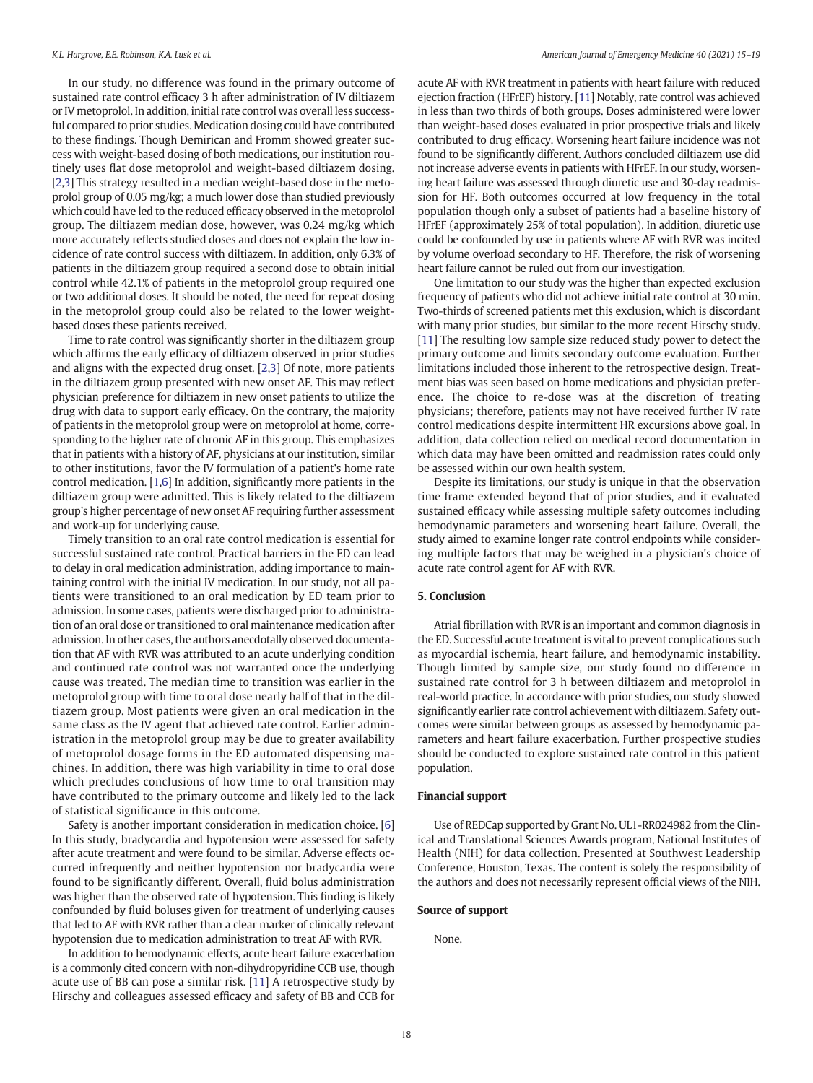In our study, no difference was found in the primary outcome of sustained rate control efficacy 3 h after administration of IV diltiazem or IV metoprolol. In addition, initial rate control was overall less successful compared to prior studies. Medication dosing could have contributed to these findings. Though Demirican and Fromm showed greater success with weight-based dosing of both medications, our institution routinely uses flat dose metoprolol and weight-based diltiazem dosing. [[2,3](#page-4-0)] This strategy resulted in a median weight-based dose in the metoprolol group of 0.05 mg/kg; a much lower dose than studied previously which could have led to the reduced efficacy observed in the metoprolol group. The diltiazem median dose, however, was 0.24 mg/kg which more accurately reflects studied doses and does not explain the low incidence of rate control success with diltiazem. In addition, only 6.3% of patients in the diltiazem group required a second dose to obtain initial control while 42.1% of patients in the metoprolol group required one or two additional doses. It should be noted, the need for repeat dosing in the metoprolol group could also be related to the lower weightbased doses these patients received.

Time to rate control was significantly shorter in the diltiazem group which affirms the early efficacy of diltiazem observed in prior studies and aligns with the expected drug onset. [[2,3\]](#page-4-0) Of note, more patients in the diltiazem group presented with new onset AF. This may reflect physician preference for diltiazem in new onset patients to utilize the drug with data to support early efficacy. On the contrary, the majority of patients in the metoprolol group were on metoprolol at home, corresponding to the higher rate of chronic AF in this group. This emphasizes that in patients with a history of AF, physicians at our institution, similar to other institutions, favor the IV formulation of a patient's home rate control medication. [\[1,6](#page-4-0)] In addition, significantly more patients in the diltiazem group were admitted. This is likely related to the diltiazem group's higher percentage of new onset AF requiring further assessment and work-up for underlying cause.

Timely transition to an oral rate control medication is essential for successful sustained rate control. Practical barriers in the ED can lead to delay in oral medication administration, adding importance to maintaining control with the initial IV medication. In our study, not all patients were transitioned to an oral medication by ED team prior to admission. In some cases, patients were discharged prior to administration of an oral dose or transitioned to oral maintenance medication after admission. In other cases, the authors anecdotally observed documentation that AF with RVR was attributed to an acute underlying condition and continued rate control was not warranted once the underlying cause was treated. The median time to transition was earlier in the metoprolol group with time to oral dose nearly half of that in the diltiazem group. Most patients were given an oral medication in the same class as the IV agent that achieved rate control. Earlier administration in the metoprolol group may be due to greater availability of metoprolol dosage forms in the ED automated dispensing machines. In addition, there was high variability in time to oral dose which precludes conclusions of how time to oral transition may have contributed to the primary outcome and likely led to the lack of statistical significance in this outcome.

Safety is another important consideration in medication choice. [[6](#page-4-0)] In this study, bradycardia and hypotension were assessed for safety after acute treatment and were found to be similar. Adverse effects occurred infrequently and neither hypotension nor bradycardia were found to be significantly different. Overall, fluid bolus administration was higher than the observed rate of hypotension. This finding is likely confounded by fluid boluses given for treatment of underlying causes that led to AF with RVR rather than a clear marker of clinically relevant hypotension due to medication administration to treat AF with RVR.

In addition to hemodynamic effects, acute heart failure exacerbation is a commonly cited concern with non-dihydropyridine CCB use, though acute use of BB can pose a similar risk. [\[11](#page-4-0)] A retrospective study by Hirschy and colleagues assessed efficacy and safety of BB and CCB for acute AF with RVR treatment in patients with heart failure with reduced ejection fraction (HFrEF) history. [\[11\]](#page-4-0) Notably, rate control was achieved in less than two thirds of both groups. Doses administered were lower than weight-based doses evaluated in prior prospective trials and likely contributed to drug efficacy. Worsening heart failure incidence was not found to be significantly different. Authors concluded diltiazem use did not increase adverse events in patients with HFrEF. In our study, worsening heart failure was assessed through diuretic use and 30-day readmission for HF. Both outcomes occurred at low frequency in the total population though only a subset of patients had a baseline history of HFrEF (approximately 25% of total population). In addition, diuretic use could be confounded by use in patients where AF with RVR was incited by volume overload secondary to HF. Therefore, the risk of worsening heart failure cannot be ruled out from our investigation.

One limitation to our study was the higher than expected exclusion frequency of patients who did not achieve initial rate control at 30 min. Two-thirds of screened patients met this exclusion, which is discordant with many prior studies, but similar to the more recent Hirschy study. [[11\]](#page-4-0) The resulting low sample size reduced study power to detect the primary outcome and limits secondary outcome evaluation. Further limitations included those inherent to the retrospective design. Treatment bias was seen based on home medications and physician preference. The choice to re-dose was at the discretion of treating physicians; therefore, patients may not have received further IV rate control medications despite intermittent HR excursions above goal. In addition, data collection relied on medical record documentation in which data may have been omitted and readmission rates could only be assessed within our own health system.

Despite its limitations, our study is unique in that the observation time frame extended beyond that of prior studies, and it evaluated sustained efficacy while assessing multiple safety outcomes including hemodynamic parameters and worsening heart failure. Overall, the study aimed to examine longer rate control endpoints while considering multiple factors that may be weighed in a physician's choice of acute rate control agent for AF with RVR.

#### 5. Conclusion

Atrial fibrillation with RVR is an important and common diagnosis in the ED. Successful acute treatment is vital to prevent complications such as myocardial ischemia, heart failure, and hemodynamic instability. Though limited by sample size, our study found no difference in sustained rate control for 3 h between diltiazem and metoprolol in real-world practice. In accordance with prior studies, our study showed significantly earlier rate control achievement with diltiazem. Safety outcomes were similar between groups as assessed by hemodynamic parameters and heart failure exacerbation. Further prospective studies should be conducted to explore sustained rate control in this patient population.

#### Financial support

Use of REDCap supported by Grant No. UL1-RR024982 from the Clinical and Translational Sciences Awards program, National Institutes of Health (NIH) for data collection. Presented at Southwest Leadership Conference, Houston, Texas. The content is solely the responsibility of the authors and does not necessarily represent official views of the NIH.

#### Source of support

None.